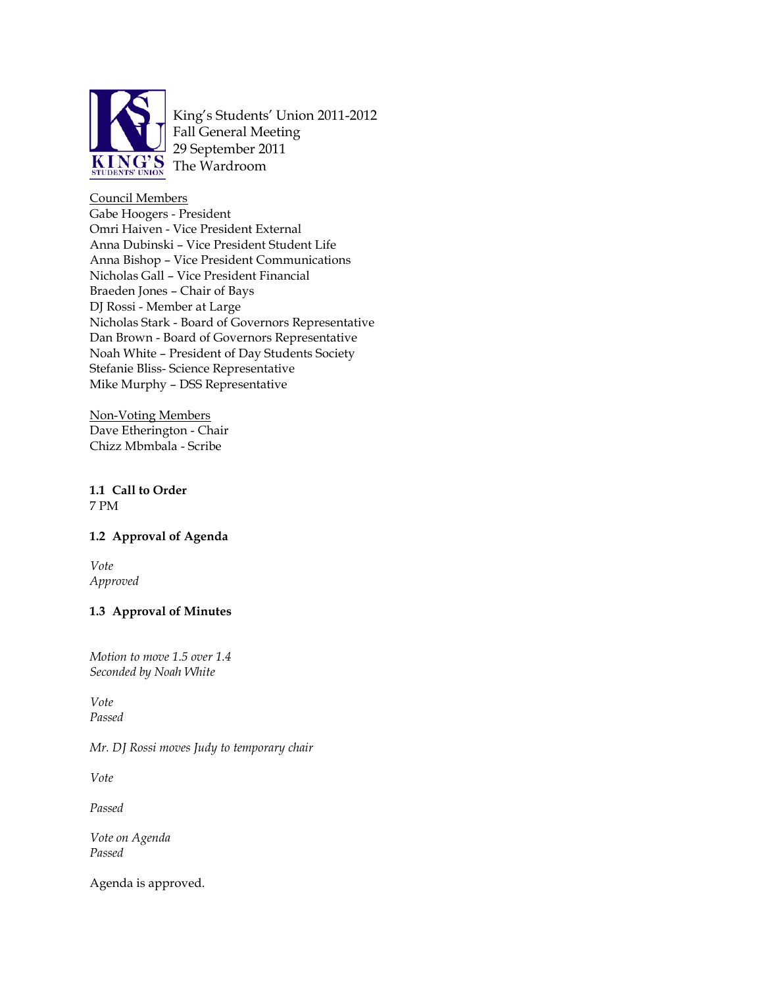

King's Students' Union 2011-2012 Fall General Meeting 29 September 2011 The Wardroom

Council Members Gabe Hoogers - President Omri Haiven - Vice President External Anna Dubinski – Vice President Student Life Anna Bishop – Vice President Communications Nicholas Gall – Vice President Financial Braeden Jones – Chair of Bays DJ Rossi - Member at Large Nicholas Stark - Board of Governors Representative Dan Brown - Board of Governors Representative Noah White – President of Day Students Society Stefanie Bliss- Science Representative Mike Murphy – DSS Representative

Non-Voting Members Dave Etherington - Chair Chizz Mbmbala - Scribe

# **1.1 Call to Order** 7 PM

# **1.2 Approval of Agenda**

*Vote Approved*

# **1.3 Approval of Minutes**

*Motion to move 1.5 over 1.4 Seconded by Noah White*

*Vote Passed* 

*Mr. DJ Rossi moves Judy to temporary chair*

*Vote*

*Passed*

*Vote on Agenda Passed*

Agenda is approved.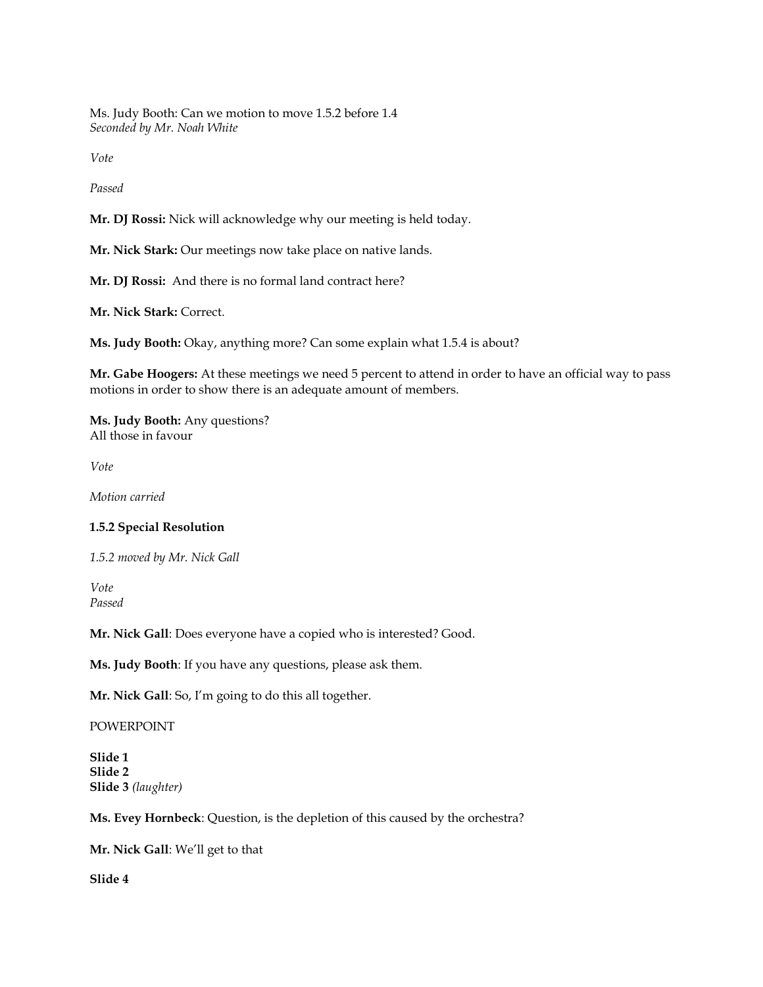Ms. Judy Booth: Can we motion to move 1.5.2 before 1.4 *Seconded by Mr. Noah White*

*Vote*

*Passed*

**Mr. DJ Rossi:** Nick will acknowledge why our meeting is held today.

**Mr. Nick Stark:** Our meetings now take place on native lands.

**Mr. DJ Rossi:** And there is no formal land contract here?

**Mr. Nick Stark:** Correct.

**Ms. Judy Booth:** Okay, anything more? Can some explain what 1.5.4 is about?

**Mr. Gabe Hoogers:** At these meetings we need 5 percent to attend in order to have an official way to pass motions in order to show there is an adequate amount of members.

**Ms. Judy Booth:** Any questions? All those in favour

*Vote*

*Motion carried*

### **1.5.2 Special Resolution**

*1.5.2 moved by Mr. Nick Gall*

*Vote Passed*

**Mr. Nick Gall**: Does everyone have a copied who is interested? Good.

**Ms. Judy Booth**: If you have any questions, please ask them.

**Mr. Nick Gall**: So, I'm going to do this all together.

#### POWERPOINT

**Slide 1 Slide 2 Slide 3** *(laughter)*

**Ms. Evey Hornbeck**: Question, is the depletion of this caused by the orchestra?

**Mr. Nick Gall**: We'll get to that

**Slide 4**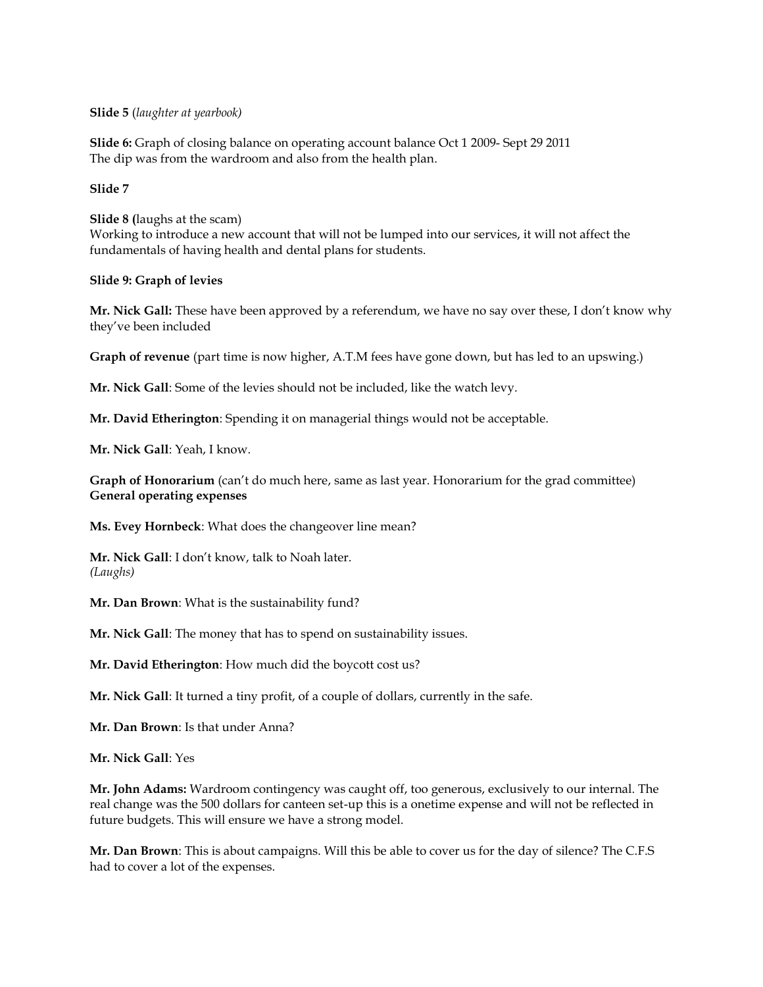**Slide 5** (*laughter at yearbook)*

**Slide 6:** Graph of closing balance on operating account balance Oct 1 2009- Sept 29 2011 The dip was from the wardroom and also from the health plan.

### **Slide 7**

**Slide 8 (**laughs at the scam) Working to introduce a new account that will not be lumped into our services, it will not affect the fundamentals of having health and dental plans for students.

### **Slide 9: Graph of levies**

**Mr. Nick Gall:** These have been approved by a referendum, we have no say over these, I don't know why they've been included

**Graph of revenue** (part time is now higher, A.T.M fees have gone down, but has led to an upswing.)

**Mr. Nick Gall**: Some of the levies should not be included, like the watch levy.

**Mr. David Etherington**: Spending it on managerial things would not be acceptable.

**Mr. Nick Gall**: Yeah, I know.

**Graph of Honorarium** (can't do much here, same as last year. Honorarium for the grad committee) **General operating expenses** 

**Ms. Evey Hornbeck**: What does the changeover line mean?

**Mr. Nick Gall**: I don't know, talk to Noah later. *(Laughs)*

**Mr. Dan Brown**: What is the sustainability fund?

**Mr. Nick Gall**: The money that has to spend on sustainability issues.

**Mr. David Etherington**: How much did the boycott cost us?

**Mr. Nick Gall**: It turned a tiny profit, of a couple of dollars, currently in the safe.

**Mr. Dan Brown**: Is that under Anna?

**Mr. Nick Gall**: Yes

**Mr. John Adams:** Wardroom contingency was caught off, too generous, exclusively to our internal. The real change was the 500 dollars for canteen set-up this is a onetime expense and will not be reflected in future budgets. This will ensure we have a strong model.

**Mr. Dan Brown**: This is about campaigns. Will this be able to cover us for the day of silence? The C.F.S had to cover a lot of the expenses.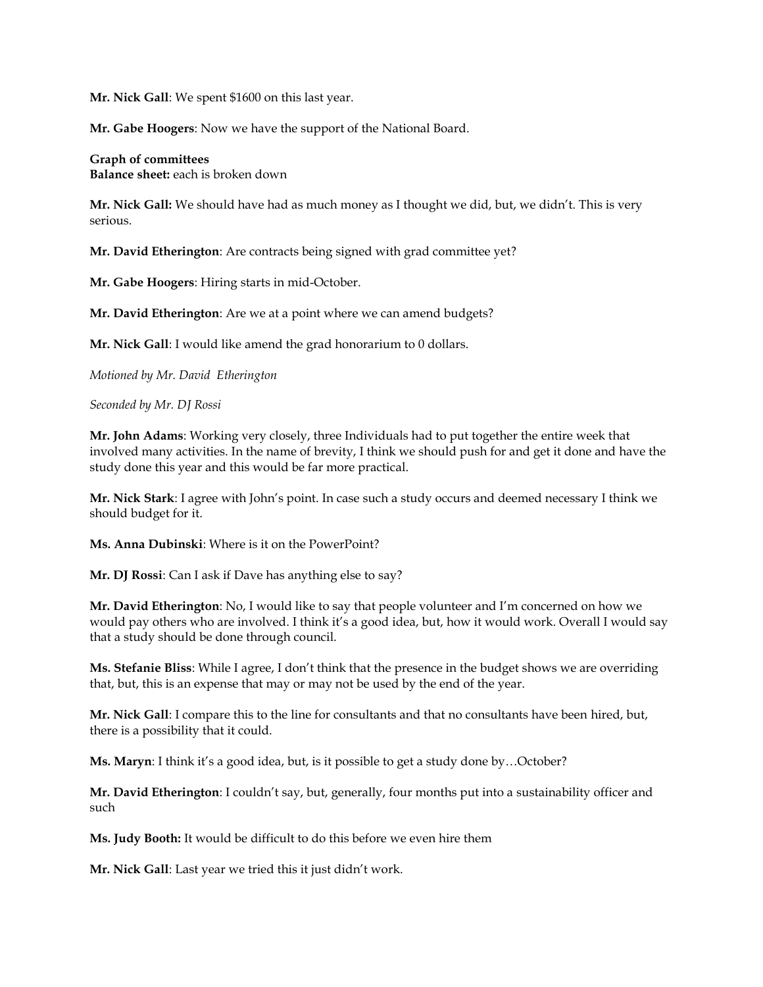**Mr. Nick Gall**: We spent \$1600 on this last year.

**Mr. Gabe Hoogers**: Now we have the support of the National Board.

**Graph of committees Balance sheet:** each is broken down

**Mr. Nick Gall:** We should have had as much money as I thought we did, but, we didn't. This is very serious.

**Mr. David Etherington**: Are contracts being signed with grad committee yet?

**Mr. Gabe Hoogers**: Hiring starts in mid-October.

**Mr. David Etherington**: Are we at a point where we can amend budgets?

**Mr. Nick Gall**: I would like amend the grad honorarium to 0 dollars.

*Motioned by Mr. David Etherington*

*Seconded by Mr. DJ Rossi*

**Mr. John Adams**: Working very closely, three Individuals had to put together the entire week that involved many activities. In the name of brevity, I think we should push for and get it done and have the study done this year and this would be far more practical.

**Mr. Nick Stark**: I agree with John's point. In case such a study occurs and deemed necessary I think we should budget for it.

**Ms. Anna Dubinski**: Where is it on the PowerPoint?

**Mr. DJ Rossi**: Can I ask if Dave has anything else to say?

**Mr. David Etherington**: No, I would like to say that people volunteer and I'm concerned on how we would pay others who are involved. I think it's a good idea, but, how it would work. Overall I would say that a study should be done through council.

**Ms. Stefanie Bliss**: While I agree, I don't think that the presence in the budget shows we are overriding that, but, this is an expense that may or may not be used by the end of the year.

**Mr. Nick Gall**: I compare this to the line for consultants and that no consultants have been hired, but, there is a possibility that it could.

**Ms. Maryn**: I think it's a good idea, but, is it possible to get a study done by…October?

**Mr. David Etherington**: I couldn't say, but, generally, four months put into a sustainability officer and such

**Ms. Judy Booth:** It would be difficult to do this before we even hire them

**Mr. Nick Gall**: Last year we tried this it just didn't work.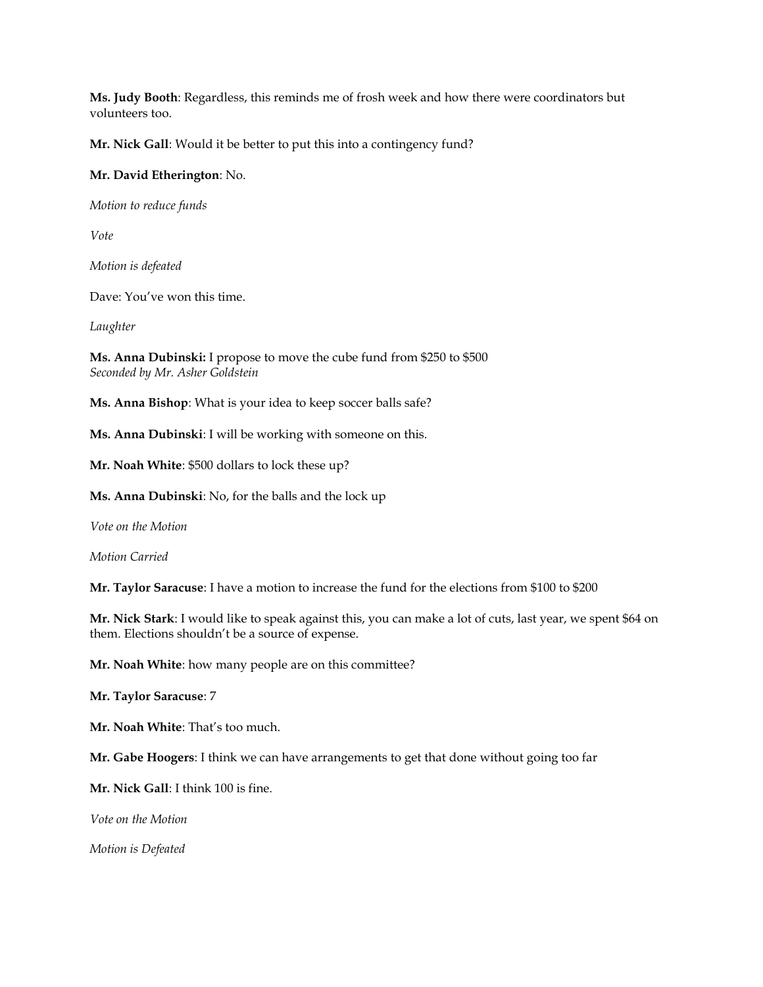**Ms. Judy Booth**: Regardless, this reminds me of frosh week and how there were coordinators but volunteers too.

**Mr. Nick Gall**: Would it be better to put this into a contingency fund?

### **Mr. David Etherington**: No.

*Motion to reduce funds*

*Vote*

*Motion is defeated*

Dave: You've won this time.

*Laughter*

**Ms. Anna Dubinski:** I propose to move the cube fund from \$250 to \$500 *Seconded by Mr. Asher Goldstein*

**Ms. Anna Bishop**: What is your idea to keep soccer balls safe?

**Ms. Anna Dubinski**: I will be working with someone on this.

**Mr. Noah White**: \$500 dollars to lock these up?

**Ms. Anna Dubinski**: No, for the balls and the lock up

*Vote on the Motion*

*Motion Carried*

**Mr. Taylor Saracuse**: I have a motion to increase the fund for the elections from \$100 to \$200

**Mr. Nick Stark**: I would like to speak against this, you can make a lot of cuts, last year, we spent \$64 on them. Elections shouldn't be a source of expense.

**Mr. Noah White**: how many people are on this committee?

**Mr. Taylor Saracuse**: 7

**Mr. Noah White**: That's too much.

**Mr. Gabe Hoogers**: I think we can have arrangements to get that done without going too far

**Mr. Nick Gall**: I think 100 is fine.

*Vote on the Motion*

*Motion is Defeated*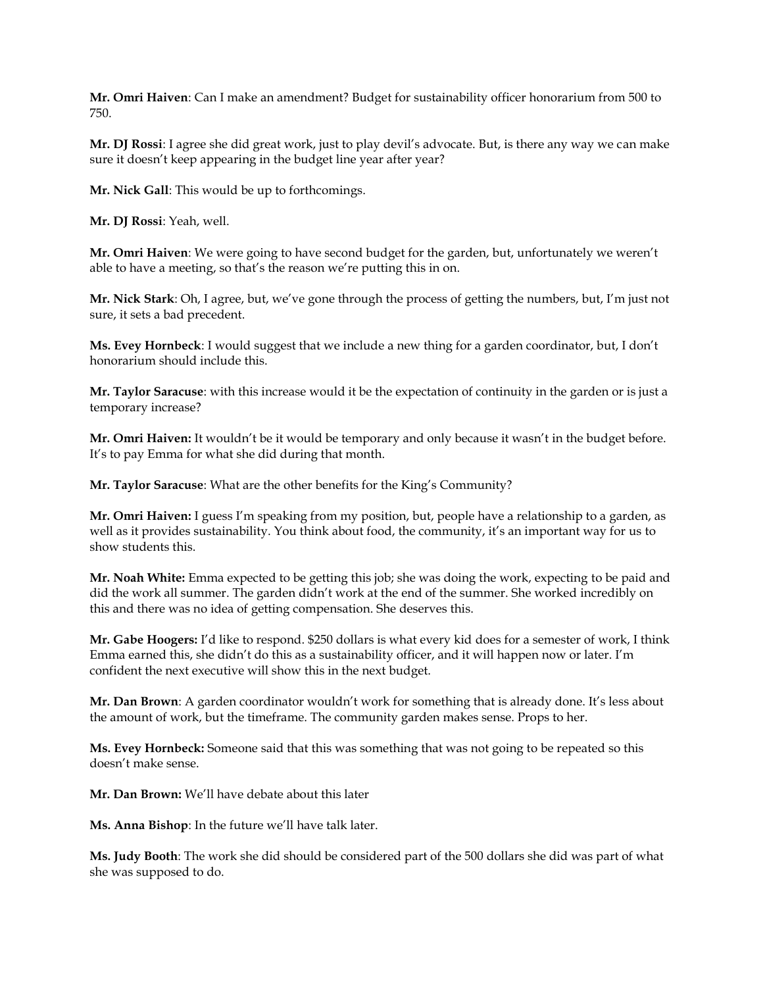**Mr. Omri Haiven**: Can I make an amendment? Budget for sustainability officer honorarium from 500 to 750.

**Mr. DJ Rossi**: I agree she did great work, just to play devil's advocate. But, is there any way we can make sure it doesn't keep appearing in the budget line year after year?

**Mr. Nick Gall**: This would be up to forthcomings.

**Mr. DJ Rossi**: Yeah, well.

**Mr. Omri Haiven**: We were going to have second budget for the garden, but, unfortunately we weren't able to have a meeting, so that's the reason we're putting this in on.

**Mr. Nick Stark**: Oh, I agree, but, we've gone through the process of getting the numbers, but, I'm just not sure, it sets a bad precedent.

**Ms. Evey Hornbeck**: I would suggest that we include a new thing for a garden coordinator, but, I don't honorarium should include this.

**Mr. Taylor Saracuse**: with this increase would it be the expectation of continuity in the garden or is just a temporary increase?

**Mr. Omri Haiven:** It wouldn't be it would be temporary and only because it wasn't in the budget before. It's to pay Emma for what she did during that month.

**Mr. Taylor Saracuse**: What are the other benefits for the King's Community?

**Mr. Omri Haiven:** I guess I'm speaking from my position, but, people have a relationship to a garden, as well as it provides sustainability. You think about food, the community, it's an important way for us to show students this.

**Mr. Noah White:** Emma expected to be getting this job; she was doing the work, expecting to be paid and did the work all summer. The garden didn't work at the end of the summer. She worked incredibly on this and there was no idea of getting compensation. She deserves this.

**Mr. Gabe Hoogers:** I'd like to respond. \$250 dollars is what every kid does for a semester of work, I think Emma earned this, she didn't do this as a sustainability officer, and it will happen now or later. I'm confident the next executive will show this in the next budget.

**Mr. Dan Brown**: A garden coordinator wouldn't work for something that is already done. It's less about the amount of work, but the timeframe. The community garden makes sense. Props to her.

**Ms. Evey Hornbeck:** Someone said that this was something that was not going to be repeated so this doesn't make sense.

**Mr. Dan Brown:** We'll have debate about this later

**Ms. Anna Bishop**: In the future we'll have talk later.

**Ms. Judy Booth**: The work she did should be considered part of the 500 dollars she did was part of what she was supposed to do.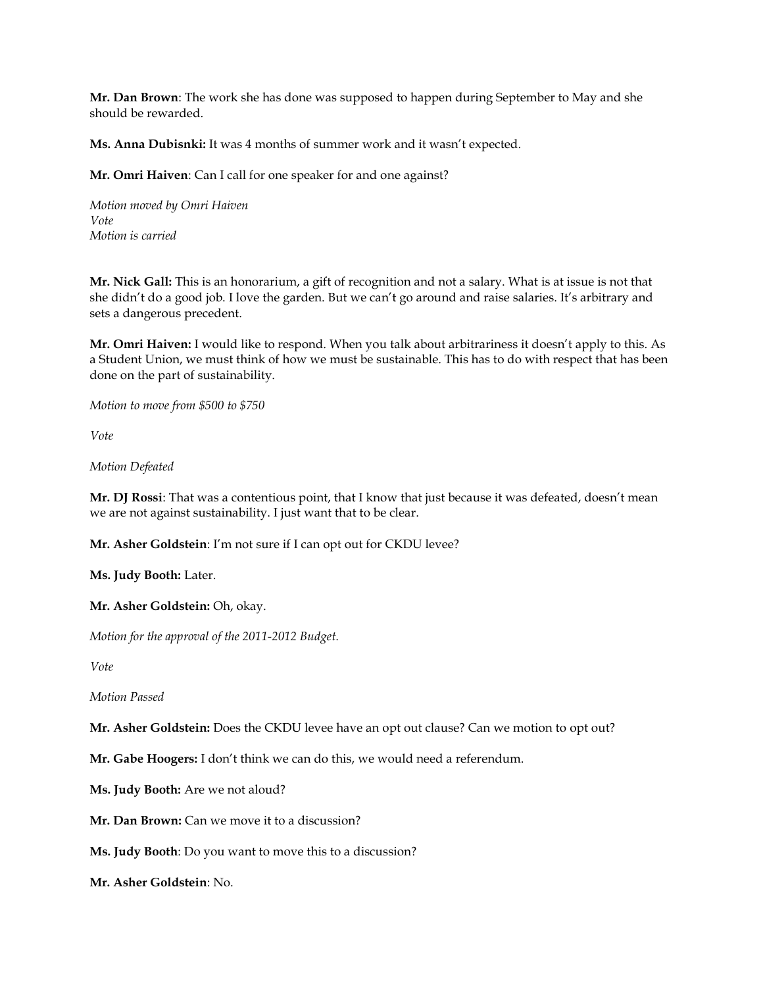**Mr. Dan Brown**: The work she has done was supposed to happen during September to May and she should be rewarded.

**Ms. Anna Dubisnki:** It was 4 months of summer work and it wasn't expected.

**Mr. Omri Haiven**: Can I call for one speaker for and one against?

*Motion moved by Omri Haiven Vote Motion is carried*

**Mr. Nick Gall:** This is an honorarium, a gift of recognition and not a salary. What is at issue is not that she didn't do a good job. I love the garden. But we can't go around and raise salaries. It's arbitrary and sets a dangerous precedent.

**Mr. Omri Haiven:** I would like to respond. When you talk about arbitrariness it doesn't apply to this. As a Student Union, we must think of how we must be sustainable. This has to do with respect that has been done on the part of sustainability.

*Motion to move from \$500 to \$750*

*Vote*

*Motion Defeated*

**Mr. DJ Rossi**: That was a contentious point, that I know that just because it was defeated, doesn't mean we are not against sustainability. I just want that to be clear.

**Mr. Asher Goldstein**: I'm not sure if I can opt out for CKDU levee?

**Ms. Judy Booth:** Later.

**Mr. Asher Goldstein:** Oh, okay.

*Motion for the approval of the 2011-2012 Budget.*

*Vote*

*Motion Passed*

**Mr. Asher Goldstein:** Does the CKDU levee have an opt out clause? Can we motion to opt out?

**Mr. Gabe Hoogers:** I don't think we can do this, we would need a referendum.

**Ms. Judy Booth:** Are we not aloud?

**Mr. Dan Brown:** Can we move it to a discussion?

**Ms. Judy Booth**: Do you want to move this to a discussion?

**Mr. Asher Goldstein**: No.